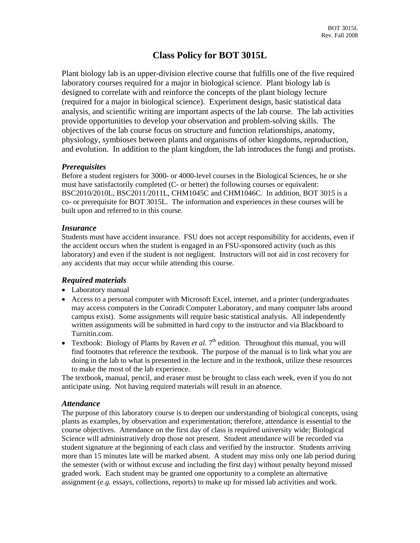# **Class Policy for BOT 3015L**

Plant biology lab is an upper-division elective course that fulfills one of the five required laboratory courses required for a major in biological science. Plant biology lab is designed to correlate with and reinforce the concepts of the plant biology lecture (required for a major in biological science). Experiment design, basic statistical data analysis, and scientific writing are important aspects of the lab course. The lab activities provide opportunities to develop your observation and problem-solving skills. The objectives of the lab course focus on structure and function relationships, anatomy, physiology, symbioses between plants and organisms of other kingdoms, reproduction, and evolution. In addition to the plant kingdom, the lab introduces the fungi and protists.

### *Prerequisites*

Before a student registers for 3000- or 4000-level courses in the Biological Sciences, he or she must have satisfactorily completed (C- or better) the following courses or equivalent: BSC2010/2010L, BSC2011/2011L, CHM1045C and CHM1046C. In addition, BOT 3015 is a co- or prerequisite for BOT 3015L. The information and experiences in these courses will be built upon and referred to in this course.

# *Insurance*

Students must have accident insurance. FSU does not accept responsibility for accidents, even if the accident occurs when the student is engaged in an FSU-sponsored activity (such as this laboratory) and even if the student is not negligent. Instructors will not aid in cost recovery for any accidents that may occur while attending this course.

# *Required materials*

- Laboratory manual
- Access to a personal computer with Microsoft Excel, internet, and a printer (undergraduates may access computers in the Conradi Computer Laboratory, and many computer labs around campus exist). Some assignments will require basic statistical analysis. All independently written assignments will be submitted in hard copy to the instructor and via Blackboard to Turnitin.com.
- Textbook: Biology of Plants by Raven *et al.*  $7<sup>th</sup>$  edition. Throughout this manual, you will find footnotes that reference the textbook. The purpose of the manual is to link what you are doing in the lab to what is presented in the lecture and in the textbook, utilize these resources to make the most of the lab experience.

The textbook, manual, pencil, and eraser must be brought to class each week, even if you do not anticipate using. Not having required materials will result in an absence.

# *Attendance*

The purpose of this laboratory course is to deepen our understanding of biological concepts, using plants as examples, by observation and experimentation; therefore, attendance is essential to the course objectives. Attendance on the first day of class is required university wide; Biological Science will administratively drop those not present. Student attendance will be recorded via student signature at the beginning of each class and verified by the instructor. Students arriving more than 15 minutes late will be marked absent. A student may miss only one lab period during the semester (with or without excuse and including the first day) without penalty beyond missed graded work. Each student may be granted one opportunity to a complete an alternative assignment (*e.g.* essays, collections, reports) to make up for missed lab activities and work.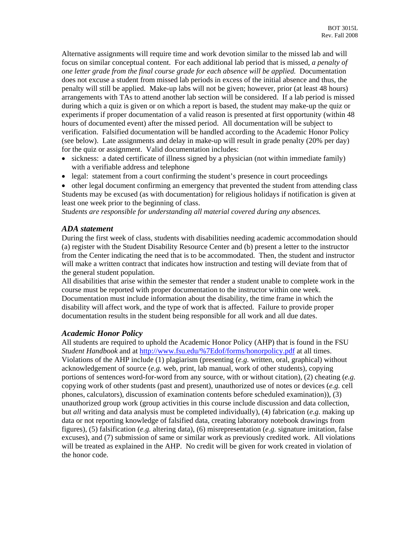Alternative assignments will require time and work devotion similar to the missed lab and will focus on similar conceptual content. For each additional lab period that is missed, *a penalty of one letter grade from the final course grade for each absence will be applied.* Documentation does not excuse a student from missed lab periods in excess of the initial absence and thus, the penalty will still be applied. Make-up labs will not be given; however, prior (at least 48 hours) arrangements with TAs to attend another lab section will be considered. If a lab period is missed during which a quiz is given or on which a report is based, the student may make-up the quiz or experiments if proper documentation of a valid reason is presented at first opportunity (within 48 hours of documented event) after the missed period. All documentation will be subject to verification. Falsified documentation will be handled according to the Academic Honor Policy (see below). Late assignments and delay in make-up will result in grade penalty (20% per day) for the quiz or assignment. Valid documentation includes:

- sickness: a dated certificate of illness signed by a physician (not within immediate family) with a verifiable address and telephone
- legal: statement from a court confirming the student's presence in court proceedings

• other legal document confirming an emergency that prevented the student from attending class Students may be excused (as with documentation) for religious holidays if notification is given at least one week prior to the beginning of class.

*Students are responsible for understanding all material covered during any absences.* 

#### *ADA statement*

During the first week of class, students with disabilities needing academic accommodation should (a) register with the Student Disability Resource Center and (b) present a letter to the instructor from the Center indicating the need that is to be accommodated. Then, the student and instructor will make a written contract that indicates how instruction and testing will deviate from that of the general student population.

All disabilities that arise within the semester that render a student unable to complete work in the course must be reported with proper documentation to the instructor within one week. Documentation must include information about the disability, the time frame in which the disability will affect work, and the type of work that is affected. Failure to provide proper documentation results in the student being responsible for all work and all due dates.

#### *Academic Honor Policy*

All students are required to uphold the Academic Honor Policy (AHP) that is found in the FSU *Student Handbook* and at <http://www.fsu.edu/%7Edof/forms/honorpolicy.pdf> at all times. Violations of the AHP include (1) plagiarism (presenting (*e.g.* written, oral, graphical) without acknowledgement of source (*e.g.* web, print, lab manual, work of other students), copying portions of sentences word-for-word from any source, with or without citation), (2) cheating (*e.g.* copying work of other students (past and present), unauthorized use of notes or devices (*e.g.* cell phones, calculators), discussion of examination contents before scheduled examination)), (3) unauthorized group work (group activities in this course include discussion and data collection, but *all* writing and data analysis must be completed individually), (4) fabrication (*e.g.* making up data or not reporting knowledge of falsified data, creating laboratory notebook drawings from figures), (5) falsification (*e.g.* altering data), (6) misrepresentation (*e.g.* signature imitation, false excuses), and (7) submission of same or similar work as previously credited work. All violations will be treated as explained in the AHP. No credit will be given for work created in violation of the honor code.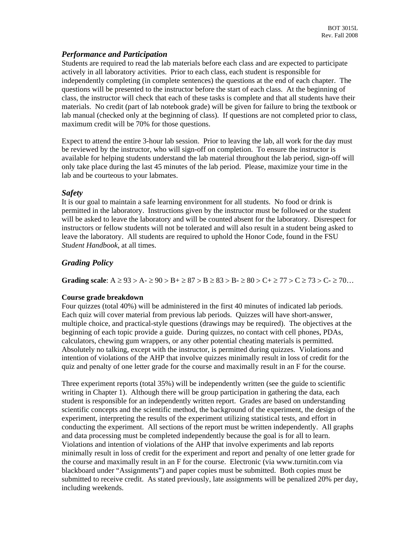### *Performance and Participation*

Students are required to read the lab materials before each class and are expected to participate actively in all laboratory activities. Prior to each class, each student is responsible for independently completing (in complete sentences) the questions at the end of each chapter. The questions will be presented to the instructor before the start of each class. At the beginning of class, the instructor will check that each of these tasks is complete and that all students have their materials. No credit (part of lab notebook grade) will be given for failure to bring the textbook or lab manual (checked only at the beginning of class). If questions are not completed prior to class, maximum credit will be 70% for those questions.

Expect to attend the entire 3-hour lab session. Prior to leaving the lab, all work for the day must be reviewed by the instructor, who will sign-off on completion. To ensure the instructor is available for helping students understand the lab material throughout the lab period, sign-off will only take place during the last 45 minutes of the lab period. Please, maximize your time in the lab and be courteous to your labmates.

# *Safety*

It is our goal to maintain a safe learning environment for all students. No food or drink is permitted in the laboratory. Instructions given by the instructor must be followed or the student will be asked to leave the laboratory and will be counted absent for the laboratory. Disrespect for instructors or fellow students will not be tolerated and will also result in a student being asked to leave the laboratory. All students are required to uphold the Honor Code, found in the FSU *Student Handbook*, at all times.

# *Grading Policy*

**Grading scale**:  $A \ge 93 > A - \ge 90 > B + \ge 87 > B \ge 83 > B - \ge 80 > C + \ge 77 > C \ge 73 > C - \ge 70...$ 

### **Course grade breakdown**

Four quizzes (total 40%) will be administered in the first 40 minutes of indicated lab periods. Each quiz will cover material from previous lab periods. Quizzes will have short-answer, multiple choice, and practical-style questions (drawings may be required). The objectives at the beginning of each topic provide a guide. During quizzes, no contact with cell phones, PDAs, calculators, chewing gum wrappers, or any other potential cheating materials is permitted. Absolutely no talking, except with the instructor, is permitted during quizzes. Violations and intention of violations of the AHP that involve quizzes minimally result in loss of credit for the quiz and penalty of one letter grade for the course and maximally result in an F for the course.

Three experiment reports (total 35%) will be independently written (see the guide to scientific writing in Chapter 1). Although there will be group participation in gathering the data, each student is responsible for an independently written report. Grades are based on understanding scientific concepts and the scientific method, the background of the experiment, the design of the experiment, interpreting the results of the experiment utilizing statistical tests, and effort in conducting the experiment. All sections of the report must be written independently. All graphs and data processing must be completed independently because the goal is for all to learn. Violations and intention of violations of the AHP that involve experiments and lab reports minimally result in loss of credit for the experiment and report and penalty of one letter grade for the course and maximally result in an F for the course. Electronic (via www.turnitin.com via blackboard under "Assignments") and paper copies must be submitted. Both copies must be submitted to receive credit. As stated previously, late assignments will be penalized 20% per day, including weekends.